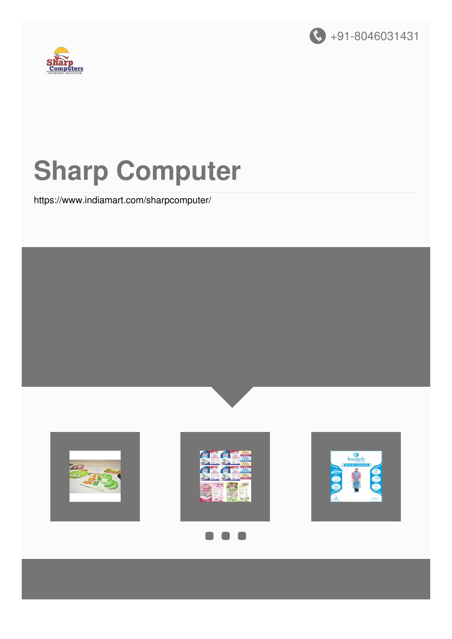



# **Sharp Computer**

<https://www.indiamart.com/sharpcomputer/>

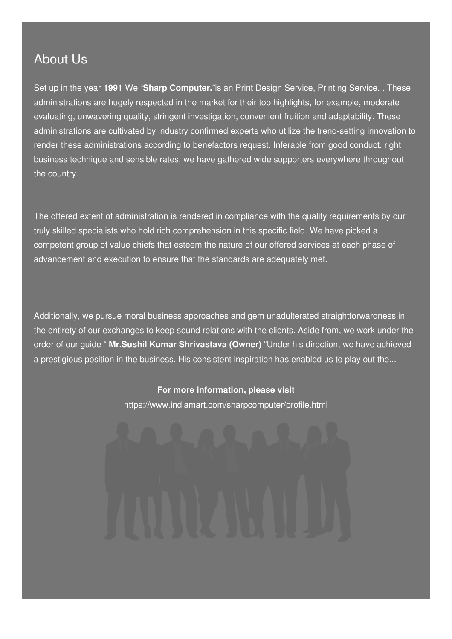### About Us

Set up in the year **1991** We "**Sharp Computer.**"is an Print Design Service, Printing Service, . These administrations are hugely respected in the market for their top highlights, for example, moderate evaluating, unwavering quality, stringent investigation, convenient fruition and adaptability. These administrations are cultivated by industry confirmed experts who utilize the trend-setting innovation to render these administrations according to benefactors request. Inferable from good conduct, right business technique and sensible rates, we have gathered wide supporters everywhere throughout the country.

The offered extent of administration is rendered in compliance with the quality requirements by our truly skilled specialists who hold rich comprehension in this specific field. We have picked a competent group of value chiefs that esteem the nature of our offered services at each phase of advancement and execution to ensure that the standards are adequately met.

Additionally, we pursue moral business approaches and gem unadulterated straightforwardness in the entirety of our exchanges to keep sound relations with the clients. Aside from, we work under the order of our guide " **Mr.Sushil Kumar Shrivastava (Owner)** "Under his direction, we have achieved a prestigious position in the business. His consistent inspiration has enabled us to play out the...

#### **For more information, please visit**

<https://www.indiamart.com/sharpcomputer/profile.html>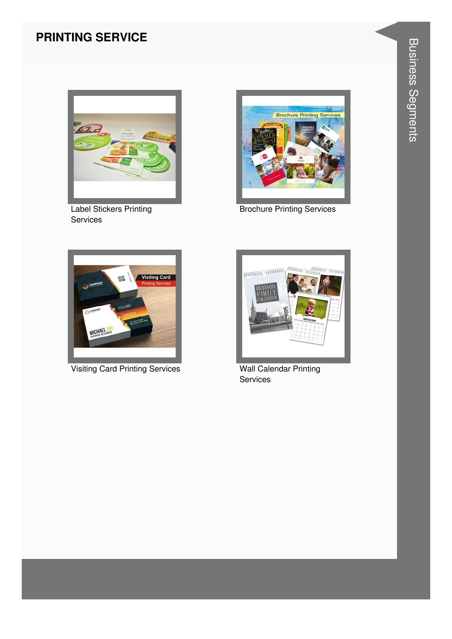#### **PRINTING SERVICE**



Label Stickers Printing Services



Brochure Printing Services



Visiting Card Printing Services Wall Calendar Printing



Services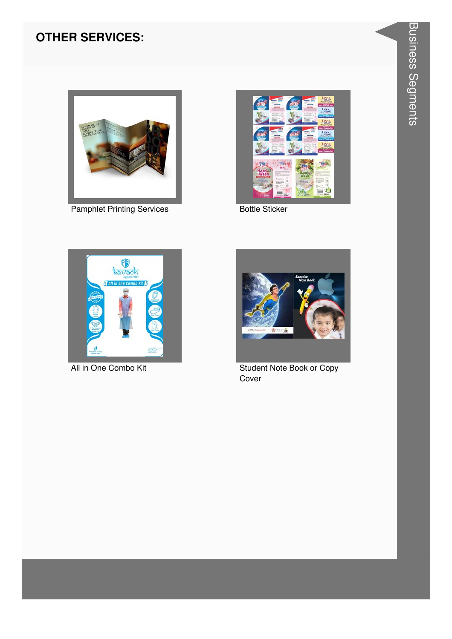#### **OTHER SERVICES:**



Pamphlet Printing Services **Bottle Sticker** 







All in One Combo Kit **Student Note Book or Copy** Cover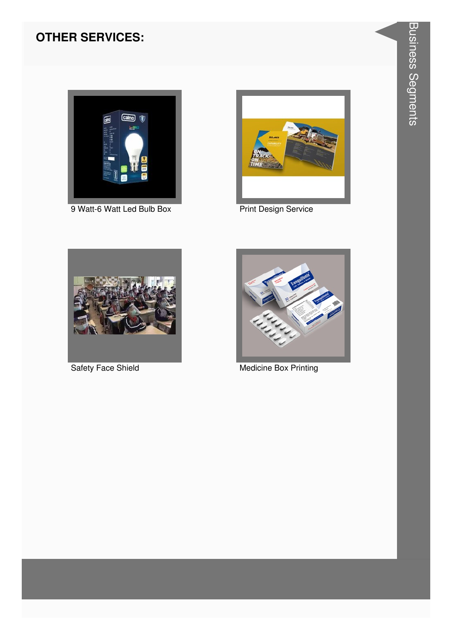#### **OTHER SERVICES:**



9 Watt-6 Watt Led Bulb Box Print Design Service







Safety Face Shield Medicine Box Printing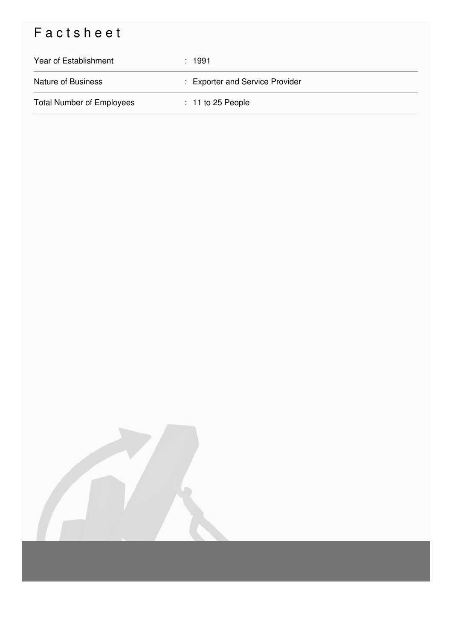## Factsheet

| Year of Establishment            | :1991                           |
|----------------------------------|---------------------------------|
| <b>Nature of Business</b>        | : Exporter and Service Provider |
| <b>Total Number of Employees</b> | $: 11$ to 25 People             |